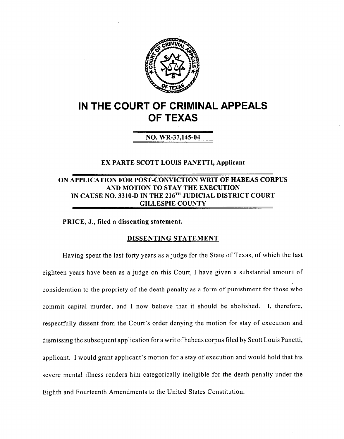

# *IN THE COURT OF CRIMINAL APPEALS OF TEXAS*

## *NO. WR-37,145-04*

#### *EX PARTE SCOTT LOUIS PANETTI, Applicant*

### *ON APPLICATION FOR POST-CONVICTION WRIT OF HABEAS CORPUS AND MOTION TO STAY THE EXECUTION IN CAUSE NO. 3310-D IN THE 216™ JUDICIAL DISTRICT COURT GILLESPIE COUNTY*

*PRICE, J., filed a dissenting statement.*

#### *DISSENTING STATEMENT*

Having spent the last forty years as a judge for the State of Texas, of which the last eighteen years have been as a judge on this Court, I have given a substantial amount of consideration to the propriety of the death penalty as a form of punishment for those who commit capital murder, and I now believe that it should be abolished. I, therefore, respectfully dissent from the Court's order denying the motion for stay of execution and dismissing the subsequent application for a writ ofhabeas corpus filed by Scott Louis Panetti, applicant. I would grant applicant's motion for a stay of execution and would hold that his severe mental illness renders him categorically ineligible for the death penalty under the Eighth and Fourteenth Amendments to the United States Constitution.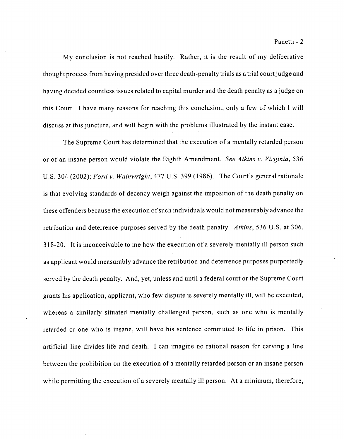My conclusion is not reached hastily. Rather, it is the result of my deliberative thought process from having presided over three death-penalty trials as a trial courtjudge and having decided countless issues related to capital murder and the death penalty as a judge on this Court. I have many reasons for reaching this conclusion, only a few of which I will discuss at this juncture, and will begin with the problems illustrated by the instant case.

The Supreme Court has determined that the execution of a mentally retarded person or of an insane person would violate the Eighth Amendment. **See Atkins** v. **Virginia,** 536 U.S. 304 (2002); **Ford** v. **Wainwright,** 477 U.S. 399 (1986). The Court's general rationale is that evolving standards of decency weigh against the imposition of the death penalty on these offenders because the execution of such individuals would not measurably advance the retribution and deterrence purposes served by the death penalty. **Atkins,** 536 U.S. at 306, 318-20. It is inconceivable to me how the execution of a severely mentally ill person such as applicant would measurably advance the retribution and deterrence purposes purportedly served by the death penalty. And, yet, unless and until a federal court or the Supreme Court grants his application, applicant, who few dispute is severely mentally ill, will be executed, whereas a similarly situated mentally challenged person, such as one who is mentally retarded or one who is insane, will have his sentence commuted to life in prison. This artificial line divides life and death. I can imagine no rational reason for carving a line between the prohibition on the execution of a mentally retarded person or an insane person while permitting the execution of a severely mentally ill person. At a minimum, therefore,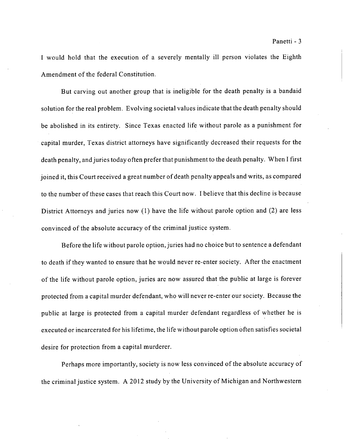I would hold that the execution of a severely mentally ill person violates the Eighth Amendment of the federal Constitution.

But carving out another group that is ineligible for the death penalty is a bandaid solution for the real problem. Evolving societal values indicate that the death penalty should be abolished in its entirety. Since Texas enacted life without parole as a punishment for capital murder, Texas district attorneys have significantly decreased their requests for the death penalty, and juries today often prefer that punishment to the death penalty. When I first joined it, this Court received a great number of death penalty appeals and writs, as compared to the number of these cases that reach this Court now. I believe that this decline is because District Attorneys and juries now (1) have the life without parole option and (2) are less convinced of the absolute accuracy of the criminal justice system.

Before the life without parole option, juries had no choice but to sentence a defendant to death if they wanted to ensure that he would never re-enter society. After the enactment of the life without parole option, juries are now assured that the public at large is forever protected from a capital murder defendant, who will never re-enter our society. Because the public at large is protected from a capital murder defendant regardless of whether he is executed or incarcerated for his lifetime, the life without parole option often satisfies societal desire for protection from a capital murderer.

Perhaps more importantly, society is now less convinced of the absolute accuracy of the criminal justice system. A 2012 study by the University of Michigan and Northwestern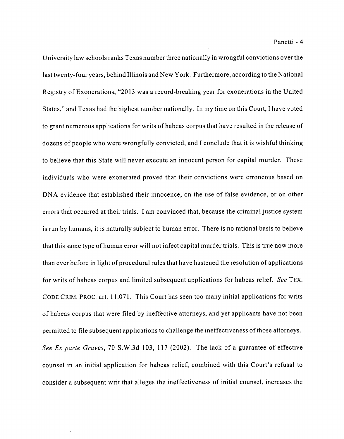University law schools ranks Texas number three nationally in wrongful convictions over the last twenty-four years, behind Illinois and New York. Furthermore, according to the National Registry of Exonerations, "2013 was a record-breaking year for exonerations in the United States," and Texas had the highest number nationally. In my time on this Court, I have voted to grant numerous applications for writs of habeas corpus that have resulted in the release of dozens of people who were wrongfully convicted, and I conclude that it is wishful thinking to believe that this State will never execute an innocent person for capital murder. These individuals who were exonerated proved that their convictions were erroneous based on DNA evidence that established their innocence, on the use of false evidence, or on other errors that occurred at their trials. I am convinced that, because the criminal justice system is run by humans, it is naturally subject to human error. There is no rational basis to believe that this same type ofhuman error will not infect capital murder trials. This is true now more than ever before in light of procedural rules that have hastened the resolution of applications for writs of habeas corpus and limited subsequent applications for habeas relief. **See** TEX. CODE CRIM. PROC. art. 11.071. This Court has seen too many initial applications for writs of habeas corpus that were filed by ineffective attorneys, and yet applicants have not been permitted to file subsequent applications to challenge the ineffectiveness of those attorneys. **See Ex parte Graves,** 70 S.W.3d 103, 117 (2002). The lack of a guarantee of effective counsel in an initial application for habeas relief, combined with this Court's refusal to consider a subsequent writ that alleges the ineffectiveness of initial counsel, increases the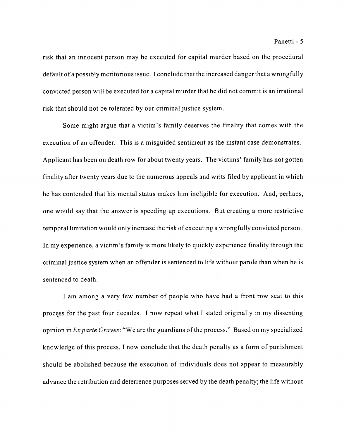risk that an innocent person may be executed for capital murder based on the procedural default of a possibly meritorious issue. I conclude that the increased danger that a wrongfully convicted person will be executed for a capital murder that he did not commit is an irrational risk that should not be tolerated by our criminal justice system.

Some might argue that a victim's family deserves the finality that comes with the execution of an offender. This is a misguided sentiment as the instant case demonstrates. Applicant has been on death row for about twenty years. The victims' family has not gotten finality after twenty years due to the numerous appeals and writs filed by applicant in which he has contended that his mental status makes him ineligible for execution. And, perhaps, one would say that the answer is speeding up executions. But creating a more restrictive temporal limitation would only increase the risk of executing a wrongfully convicted person. In my experience, a victim's family is more likely to quickly experience finality through the criminal justice system when an offender is sentenced to life without parole than when he is sentenced to death.

I am among a very few number of people who have had a front row seat to this process for the past four decades. I now repeat what I stated originally in my dissenting opinion in **Exparte Graves:** "We are the guardians ofthe process." Based on my specialized knowledge of this process, I now conclude that the death penalty as a form of punishment should be abolished because the execution of individuals does not appear to measurably advance the retribution and deterrence purposes served by the death penalty; the life without